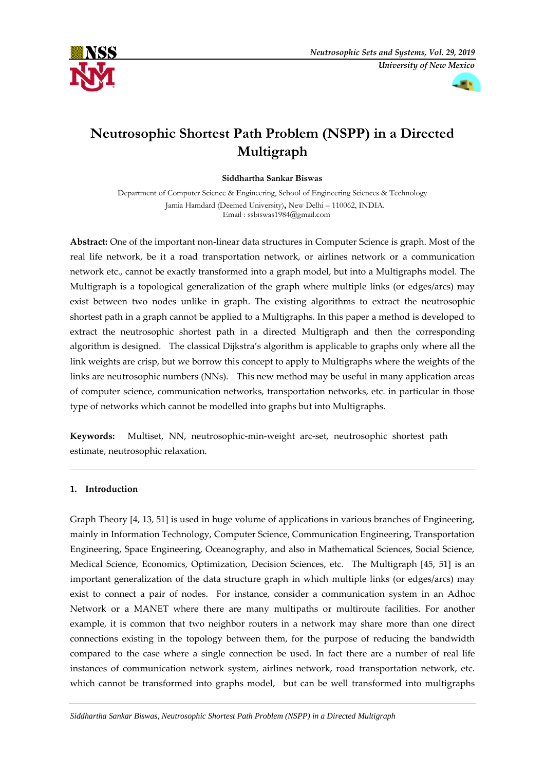



# **Neutrosophic Shortest Path Problem (NSPP) in a Directed Multigraph**

**Siddhartha Sankar Biswas**

Department of Computer Science & Engineering, School of Engineering Sciences & Technology Jamia Hamdard (Deemed University)**,** New Delhi – 110062, INDIA. Email : ssbiswas1984@gmail.com

**Abstract:** One of the important non-linear data structures in Computer Science is graph. Most of the real life network, be it a road transportation network, or airlines network or a communication network etc., cannot be exactly transformed into a graph model, but into a Multigraphs model. The Multigraph is a topological generalization of the graph where multiple links (or edges/arcs) may exist between two nodes unlike in graph. The existing algorithms to extract the neutrosophic shortest path in a graph cannot be applied to a Multigraphs. In this paper a method is developed to extract the neutrosophic shortest path in a directed Multigraph and then the corresponding algorithm is designed. The classical Dijkstra's algorithm is applicable to graphs only where all the link weights are crisp, but we borrow this concept to apply to Multigraphs where the weights of the links are neutrosophic numbers (NNs). This new method may be useful in many application areas of computer science, communication networks, transportation networks, etc. in particular in those type of networks which cannot be modelled into graphs but into Multigraphs.

**Keywords:** Multiset, NN, neutrosophic-min-weight arc-set, neutrosophic shortest path estimate, neutrosophic relaxation.

# **1. Introduction**

Graph Theory [4, 13, 51] is used in huge volume of applications in various branches of Engineering, mainly in Information Technology, Computer Science, Communication Engineering, Transportation Engineering, Space Engineering, Oceanography, and also in Mathematical Sciences, Social Science, Medical Science, Economics, Optimization, Decision Sciences, etc. The Multigraph [45, 51] is an important generalization of the data structure graph in which multiple links (or edges/arcs) may exist to connect a pair of nodes. For instance, consider a communication system in an Adhoc Network or a MANET where there are many multipaths or multiroute facilities. For another example, it is common that two neighbor routers in a network may share more than one direct connections existing in the topology between them, for the purpose of reducing the bandwidth compared to the case where a single connection be used. In fact there are a number of real life instances of communication network system, airlines network, road transportation network, etc. which cannot be transformed into graphs model, but can be well transformed into multigraphs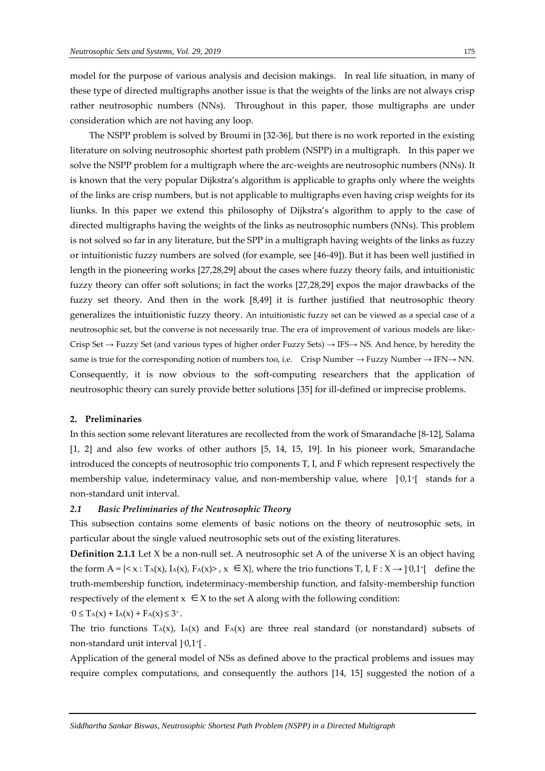model for the purpose of various analysis and decision makings. In real life situation, in many of these type of directed multigraphs another issue is that the weights of the links are not always crisp rather neutrosophic numbers (NNs). Throughout in this paper, those multigraphs are under consideration which are not having any loop.

The NSPP problem is solved by Broumi in [32-36], but there is no work reported in the existing literature on solving neutrosophic shortest path problem (NSPP) in a multigraph. In this paper we solve the NSPP problem for a multigraph where the arc-weights are neutrosophic numbers (NNs). It is known that the very popular Dijkstra's algorithm is applicable to graphs only where the weights of the links are crisp numbers, but is not applicable to multigraphs even having crisp weights for its liunks. In this paper we extend this philosophy of Dijkstra's algorithm to apply to the case of directed multigraphs having the weights of the links as neutrosophic numbers (NNs). This problem is not solved so far in any literature, but the SPP in a multigraph having weights of the links as fuzzy or intuitionistic fuzzy numbers are solved (for example, see [46-49]). But it has been well justified in length in the pioneering works [27,28,29] about the cases where fuzzy theory fails, and intuitionistic fuzzy theory can offer soft solutions; in fact the works [27,28,29] expos the major drawbacks of the fuzzy set theory. And then in the work [8,49] it is further justified that neutrosophic theory generalizes the intuitionistic fuzzy theory. An intuitionistic fuzzy set can be viewed as a special case of a neutrosophic set, but the converse is not necessarily true. The era of improvement of various models are like:- Crisp Set → Fuzzy Set (and various types of higher order Fuzzy Sets) → IFS→ NS. And hence, by heredity the same is true for the corresponding notion of numbers too, i.e. Crisp Number  $\rightarrow$  Fuzzy Number  $\rightarrow$  IFN $\rightarrow$  NN. Consequently, it is now obvious to the soft-computing researchers that the application of neutrosophic theory can surely provide better solutions [35] for ill-defined or imprecise problems.

## **2. Preliminaries**

In this section some relevant literatures are recollected from the work of Smarandache [8-12], Salama [1, 2] and also few works of other authors [5, 14, 15, 19]. In his pioneer work, Smarandache introduced the concepts of neutrosophic trio components T, I, and F which represent respectively the membership value, indeterminacy value, and non-membership value, where ]-0,1<sup>+</sup> [ stands for a non-standard unit interval.

## *2.1 Basic Preliminaries of the Neutrosophic Theory*

This subsection contains some elements of basic notions on the theory of neutrosophic sets, in particular about the single valued neutrosophic sets out of the existing literatures.

**Definition 2.1.1** Let X be a non-null set. A neutrosophic set A of the universe X is an object having the form  $A = \{ \langle x : T_A(x), I_A(x), F_A(x) \rangle, x \in X \}$ , where the trio functions  $T, I, F: X \rightarrow ]0,1^{\dagger}$  define the truth-membership function, indeterminacy-membership function, and falsity-membership function respectively of the element  $x \in X$  to the set A along with the following condition:

$$
0 \leq T_A(x) + I_A(x) + F_A(x) \leq 3^+.
$$

The trio functions  $T_A(x)$ ,  $I_A(x)$  and  $F_A(x)$  are three real standard (or nonstandard) subsets of non-standard unit interval ] -0,1<sup>+</sup> [ .

Application of the general model of NSs as defined above to the practical problems and issues may require complex computations, and consequently the authors [14, 15] suggested the notion of a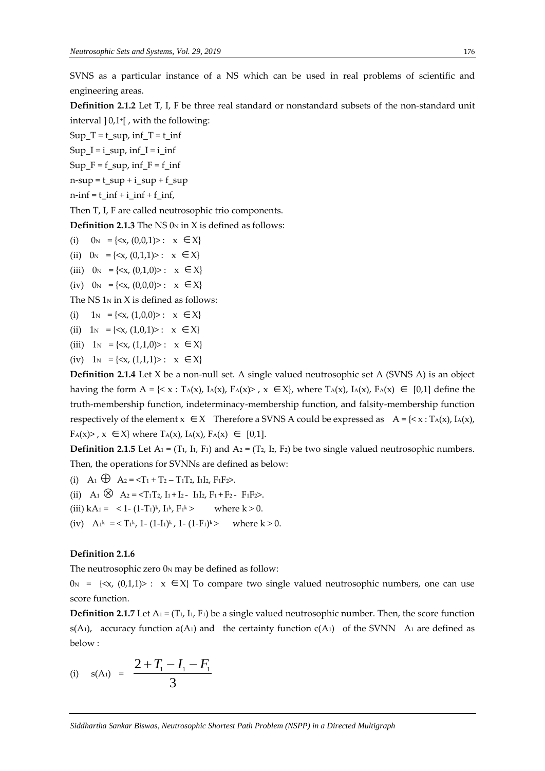SVNS as a particular instance of a NS which can be used in real problems of scientific and engineering areas.

**Definition 2.1.2** Let T, I, F be three real standard or nonstandard subsets of the non-standard unit interval ] -0,1<sup>+</sup> [ , with the following:

Sup  $T = t$  sup, inf  $T = t$  inf Sup  $I = i$  sup, inf  $I = i$  inf Sup  $F = f$  sup, inf  $F = f$  inf  $n$ -sup = t\_sup + i\_sup + f\_sup

 $n$ -inf = t\_inf + i\_inf + f\_inf,

Then T, I, F are called neutrosophic trio components.

**Definition 2.1.3** The NS 0<sub>N</sub> in X is defined as follows:

- (i)  $0_N = \{ \langle x, (0,0,1) \rangle : x \in X \}$
- (ii)  $0_N = \{ \langle x, (0,1,1) \rangle : x \in X \}$
- (iii)  $0_N = \{ \langle x, (0,1,0) \rangle : x \in X \}$
- (iv)  $0_N = \{ \langle x, (0,0,0) \rangle : x \in X \}$

The NS  $1_N$  in X is defined as follows:

- (i)  $1_N = \{ \langle x, (1,0,0) \rangle : x \in X \}$
- (ii)  $1_N = \{ \langle x, (1,0,1) \rangle : x \in X \}$
- (iii)  $1_N = \{ \langle x, (1,1,0) \rangle : x \in X \}$
- (iv)  $1_N = \{ \langle x, (1,1,1) \rangle : x \in X \}$

**Definition 2.1.4** Let X be a non-null set. A single valued neutrosophic set A (SVNS A) is an object having the form  $A = \{ \langle x : T_A(x), I_A(x), F_A(x) \rangle, x \in X \}$ , where  $T_A(x), I_A(x), F_A(x) \in [0,1]$  define the truth-membership function, indeterminacy-membership function, and falsity-membership function respectively of the element  $x \in X$  Therefore a SVNS A could be expressed as  $A = \{ \le x : T_A(x), I_A(x),$  $F_A(x)$ ,  $x \in X$  where  $T_A(x)$ ,  $I_A(x)$ ,  $F_A(x) \in [0,1]$ .

**Definition 2.1.5** Let  $A_1 = (T_1, I_1, F_1)$  and  $A_2 = (T_2, I_2, F_2)$  be two single valued neutrosophic numbers. Then, the operations for SVNNs are defined as below:

- (i) A<sub>1</sub>  $\oplus$  A<sub>2</sub> = <T<sub>1</sub> + T<sub>2</sub> T<sub>1</sub>T<sub>2</sub>, I<sub>1</sub>I<sub>2</sub>, F<sub>1</sub>F<sub>2</sub>>.
- (ii)  $A_1 \otimes A_2 = \langle T_1 T_2, I_1 + I_2 I_1 I_2, F_1 + F_2 F_1 F_2 \rangle.$
- (iii)  $kA_1 = 1 (1-T_1)^k$ ,  $I_1^k$ ,  $F_1$ where  $k > 0$ .
- (iv)  $A_1^k = \langle T_1^k, 1 (1-I_1)^k, 1 (1-F_1)^k \rangle$  where  $k > 0$ .

## **Definition 2.1.6**

The neutrosophic zero  $0<sub>N</sub>$  may be defined as follow:

 $0_N = \{ \langle x, (0,1,1) \rangle : x \in X \}$  To compare two single valued neutrosophic numbers, one can use score function.

**Definition 2.1.7** Let  $A_1 = (T_1, I_1, F_1)$  be a single valued neutrosophic number. Then, the score function s(A<sub>1</sub>), accuracy function a(A<sub>1</sub>) and the certainty function  $c(A_1)$  of the SVNN A<sub>1</sub> are defined as below :

(i) 
$$
s(A_1) = \frac{2+T_1-I_1-F_1}{3}
$$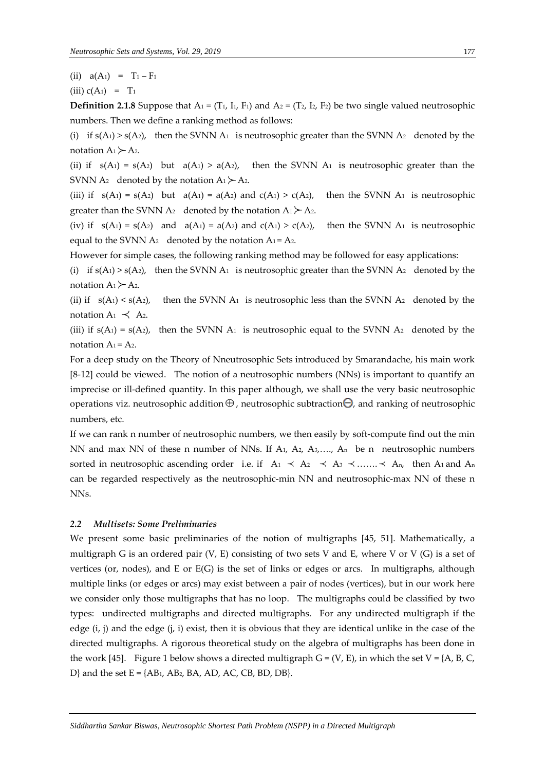(ii)  $a(A_1) = T_1 - F_1$ 

(iii)  $c(A_1) = T_1$ 

**Definition 2.1.8** Suppose that  $A_1 = (T_1, I_1, F_1)$  and  $A_2 = (T_2, I_2, F_2)$  be two single valued neutrosophic numbers. Then we define a ranking method as follows:

(i) if  $s(A_1) > s(A_2)$ , then the SVNN  $A_1$  is neutrosophic greater than the SVNN  $A_2$  denoted by the notation  $A_1 \rightarrow A_2$ .

(ii) if  $s(A_1) = s(A_2)$  but  $a(A_1) > a(A_2)$ , then the SVNN  $A_1$  is neutrosophic greater than the SVNN A<sub>2</sub> denoted by the notation  $A_1 \succeq A_2$ .

(iii) if  $s(A_1) = s(A_2)$  but  $a(A_1) = a(A_2)$  and  $c(A_1) > c(A_2)$ , then the SVNN  $A_1$  is neutrosophic greater than the SVNN A<sub>2</sub> denoted by the notation  $A_1 \rightarrow A_2$ .

(iv) if  $s(A_1) = s(A_2)$  and  $a(A_1) = a(A_2)$  and  $c(A_1) > c(A_2)$ , then the SVNN A<sub>1</sub> is neutrosophic equal to the SVNN  $A_2$  denoted by the notation  $A_1 = A_2$ .

However for simple cases, the following ranking method may be followed for easy applications:

(i) if  $s(A_1) > s(A_2)$ , then the SVNN  $A_1$  is neutrosophic greater than the SVNN  $A_2$  denoted by the notation  $A_1 \rightarrow A_2$ .

(ii) if  $s(A_1) < s(A_2)$ , then the SVNN A<sub>1</sub> is neutrosophic less than the SVNN A<sub>2</sub> denoted by the notation  $A_1 \prec A_2$ .

(iii) if  $s(A_1) = s(A_2)$ , then the SVNN A<sub>1</sub> is neutrosophic equal to the SVNN A<sub>2</sub> denoted by the notation  $A_1 = A_2$ .

For a deep study on the Theory of Nneutrosophic Sets introduced by Smarandache, his main work [8-12] could be viewed. The notion of a neutrosophic numbers (NNs) is important to quantify an imprecise or ill-defined quantity. In this paper although, we shall use the very basic neutrosophic operations viz. neutrosophic addition  $\oplus$  , neutrosophic subtraction $\ominus$ , and ranking of neutrosophic numbers, etc.

If we can rank n number of neutrosophic numbers, we then easily by soft-compute find out the min NN and max NN of these n number of NNs. If  $A_1$ ,  $A_2$ ,  $A_3$ , ...,  $A_n$  be n neutrosophic numbers sorted in neutrosophic ascending order i.e. if  $A_1 \prec A_2 \prec A_3 \prec \dots \prec A_n$ , then A<sub>1</sub> and A<sub>n</sub> can be regarded respectively as the neutrosophic-min NN and neutrosophic-max NN of these n NNs.

#### *2.2 Multisets: Some Preliminaries*

We present some basic preliminaries of the notion of multigraphs [45, 51]. Mathematically, a multigraph G is an ordered pair  $(V, E)$  consisting of two sets V and E, where V or V  $(G)$  is a set of vertices (or, nodes), and E or E(G) is the set of links or edges or arcs. In multigraphs, although multiple links (or edges or arcs) may exist between a pair of nodes (vertices), but in our work here we consider only those multigraphs that has no loop. The multigraphs could be classified by two types: undirected multigraphs and directed multigraphs. For any undirected multigraph if the edge (i, j) and the edge (j, i) exist, then it is obvious that they are identical unlike in the case of the directed multigraphs. A rigorous theoretical study on the algebra of multigraphs has been done in the work [45]. Figure 1 below shows a directed multigraph  $G = (V, E)$ , in which the set  $V = \{A, B, C, C\}$ D} and the set  $E = \{AB_1, AB_2, BA, AD, AC, CB, BD, DB\}.$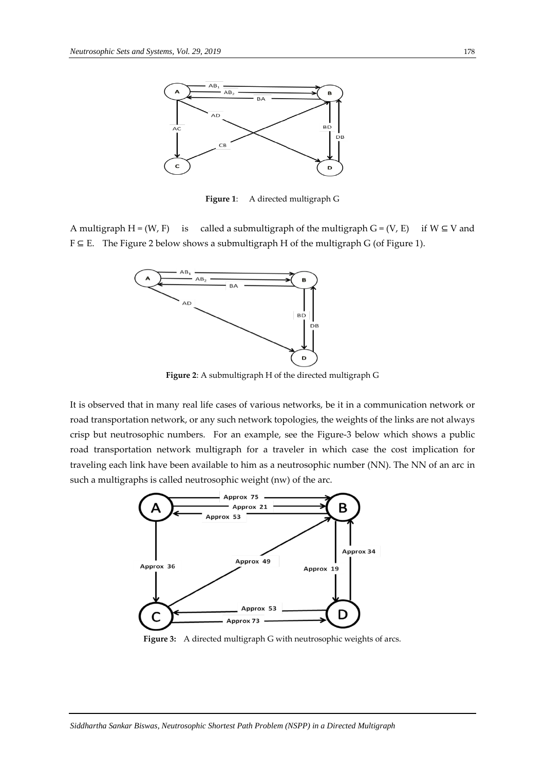

**Figure 1**: A directed multigraph G

A multigraph H = (W, F) is called a submultigraph of the multigraph G = (V, E) if W  $\subseteq$  V and F ⊆ E. The Figure 2 below shows a submultigraph H of the multigraph G (of Figure 1).



**Figure 2**: A submultigraph H of the directed multigraph G

It is observed that in many real life cases of various networks, be it in a communication network or road transportation network, or any such network topologies, the weights of the links are not always crisp but neutrosophic numbers. For an example, see the Figure-3 below which shows a public road transportation network multigraph for a traveler in which case the cost implication for traveling each link have been available to him as a neutrosophic number (NN). The NN of an arc in such a multigraphs is called neutrosophic weight (nw) of the arc.



Figure 3: A directed multigraph G with neutrosophic weights of arcs.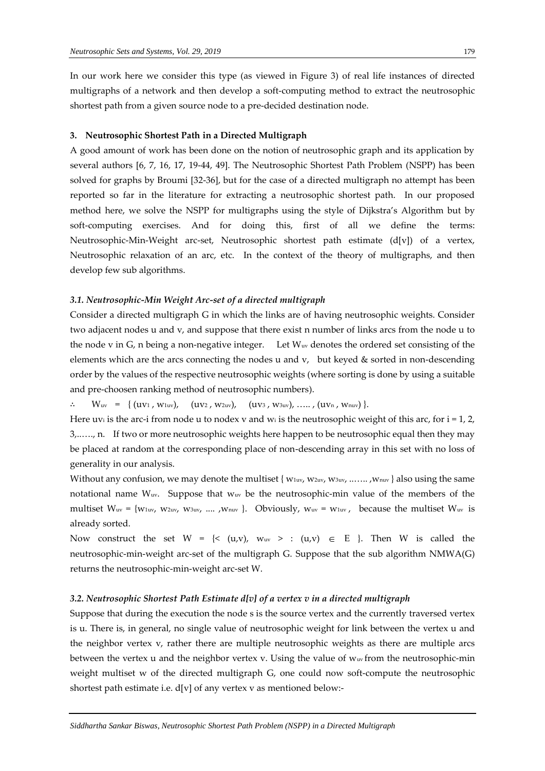In our work here we consider this type (as viewed in Figure 3) of real life instances of directed multigraphs of a network and then develop a soft-computing method to extract the neutrosophic shortest path from a given source node to a pre-decided destination node.

#### **3. Neutrosophic Shortest Path in a Directed Multigraph**

A good amount of work has been done on the notion of neutrosophic graph and its application by several authors [6, 7, 16, 17, 19-44, 49]. The Neutrosophic Shortest Path Problem (NSPP) has been solved for graphs by Broumi [32-36], but for the case of a directed multigraph no attempt has been reported so far in the literature for extracting a neutrosophic shortest path. In our proposed method here, we solve the NSPP for multigraphs using the style of Dijkstra's Algorithm but by soft-computing exercises. And for doing this, first of all we define the terms: Neutrosophic-Min-Weight arc-set, Neutrosophic shortest path estimate (d[v]) of a vertex, Neutrosophic relaxation of an arc, etc. In the context of the theory of multigraphs, and then develop few sub algorithms.

### *3.1. Neutrosophic-Min Weight Arc-set of a directed multigraph*

Consider a directed multigraph G in which the links are of having neutrosophic weights. Consider two adjacent nodes u and v, and suppose that there exist n number of links arcs from the node u to the node v in G, n being a non-negative integer. Let Wuv denotes the ordered set consisting of the elements which are the arcs connecting the nodes u and  $v$ , but keyed  $&$  sorted in non-descending order by the values of the respective neutrosophic weights (where sorting is done by using a suitable and pre-choosen ranking method of neutrosophic numbers).

 $W_{uv} = \{ (uv_1, w_{1uv}), (uv_2, w_{2uv}), (uv_3, w_{3uv}), \ldots, (uv_n, w_{nu}) \}.$ 

Here uvi is the arc-i from node u to nodex v and wi is the neutrosophic weight of this arc, for  $i = 1, 2$ , 3,..…., n. If two or more neutrosophic weights here happen to be neutrosophic equal then they may be placed at random at the corresponding place of non-descending array in this set with no loss of generality in our analysis.

Without any confusion, we may denote the multiset {  $w_1w_1$ ,  $w_2w_1$ ,  $w_3w_2$ , .......,  $w_1w_1$ } also using the same notational name  $W_{uv}$ . Suppose that  $W_{uv}$  be the neutrosophic-min value of the members of the multiset  $W_{uv} = \{w_{1uv}, w_{2uv}, w_{3uv}, \dots, w_{nu}\}$ . Obviously,  $w_{uv} = w_{1uv}$ , because the multiset  $W_{uv}$  is already sorted.

Now construct the set  $W = \{<(u,v), w_{uv} > : (u,v) \in E\}$ . Then W is called the neutrosophic-min-weight arc-set of the multigraph G. Suppose that the sub algorithm NMWA(G) returns the neutrosophic-min-weight arc-set W.

#### *3.2. Neutrosophic Shortest Path Estimate d[v] of a vertex v in a directed multigraph*

Suppose that during the execution the node s is the source vertex and the currently traversed vertex is u. There is, in general, no single value of neutrosophic weight for link between the vertex u and the neighbor vertex v, rather there are multiple neutrosophic weights as there are multiple arcs between the vertex u and the neighbor vertex v. Using the value of wuv from the neutrosophic-min weight multiset w of the directed multigraph G, one could now soft-compute the neutrosophic shortest path estimate i.e. d[v] of any vertex v as mentioned below:-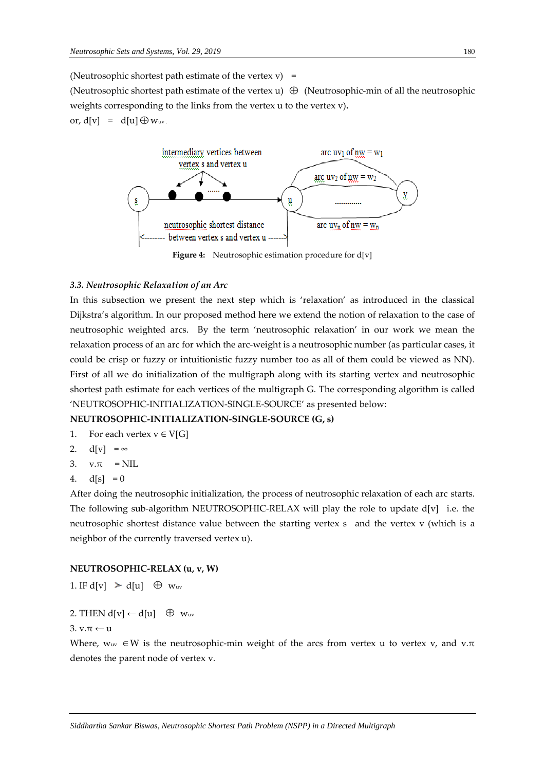(Neutrosophic shortest path estimate of the vertex  $v$ ) =

(Neutrosophic shortest path estimate of the vertex  $u$ )  $\oplus$  (Neutrosophic-min of all the neutrosophic weights corresponding to the links from the vertex u to the vertex v)**.** or,  $d[v] = d[u] \oplus w_{uv}$ .



Figure 4: Neutrosophic estimation procedure for d[v]

## *3.3. Neutrosophic Relaxation of an Arc*

In this subsection we present the next step which is 'relaxation' as introduced in the classical Dijkstra's algorithm. In our proposed method here we extend the notion of relaxation to the case of neutrosophic weighted arcs. By the term 'neutrosophic relaxation' in our work we mean the relaxation process of an arc for which the arc-weight is a neutrosophic number (as particular cases, it could be crisp or fuzzy or intuitionistic fuzzy number too as all of them could be viewed as NN). First of all we do initialization of the multigraph along with its starting vertex and neutrosophic shortest path estimate for each vertices of the multigraph G. The corresponding algorithm is called 'NEUTROSOPHIC-INITIALIZATION-SINGLE-SOURCE' as presented below:

## **NEUTROSOPHIC-INITIALIZATION-SINGLE-SOURCE (G, s)**

- 1. For each vertex  $v \in V[G]$
- 2.  $d[v] = \infty$
- 3.  $v.\pi = NIL$
- 4.  $d[s] = 0$

After doing the neutrosophic initialization, the process of neutrosophic relaxation of each arc starts. The following sub-algorithm NEUTROSOPHIC-RELAX will play the role to update  $d[v]$  i.e. the neutrosophic shortest distance value between the starting vertex s and the vertex v (which is a neighbor of the currently traversed vertex u).

## **NEUTROSOPHIC-RELAX (u, v, W)**

1. IF  $d[v] > d[u] \oplus w_{uv}$ 

2. THEN  $d[v] \leftarrow d[u] \oplus w_{uv}$ 

3. v. $\pi$  ← u

Where,  $w_{uv} \in W$  is the neutrosophic-min weight of the arcs from vertex u to vertex v, and v. $\pi$ denotes the parent node of vertex v.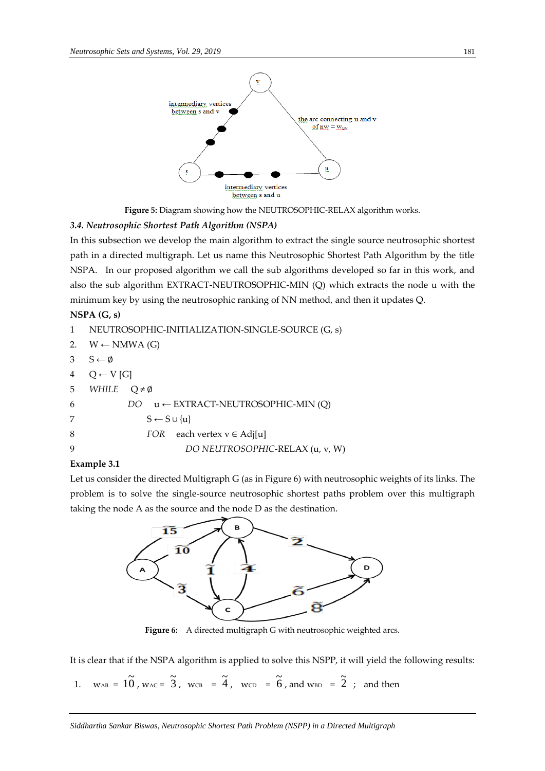

**Figure 5:** Diagram showing how the NEUTROSOPHIC-RELAX algorithm works.

# *3.4. Neutrosophic Shortest Path Algorithm (NSPA)*

In this subsection we develop the main algorithm to extract the single source neutrosophic shortest path in a directed multigraph. Let us name this Neutrosophic Shortest Path Algorithm by the title NSPA. In our proposed algorithm we call the sub algorithms developed so far in this work, and also the sub algorithm EXTRACT-NEUTROSOPHIC-MIN (Q) which extracts the node u with the minimum key by using the neutrosophic ranking of NN method, and then it updates Q.

# **NSPA (G, s)**

```
1 NEUTROSOPHIC-INITIALIZATION-SINGLE-SOURCE (G, s)
2. W \leftarrow \text{NMWA (G)}3 \quad S \leftarrow \emptyset4 Q \leftarrow V[G]5 WHILE Q ≠ ∅
6 DO u ← EXTRACT-NEUTROSOPHIC-MIN (Q)
7 S \leftarrow S \cup \{u\}8 FOR each vertex v ∈ Adj[u]
9 DO NEUTROSOPHIC-RELAX (u, v, W)
```
# **Example 3.1**

Let us consider the directed Multigraph G (as in Figure 6) with neutrosophic weights of its links. The problem is to solve the single-source neutrosophic shortest paths problem over this multigraph taking the node A as the source and the node D as the destination.



Figure 6: A directed multigraph G with neutrosophic weighted arcs.

It is clear that if the NSPA algorithm is applied to solve this NSPP, it will yield the following results:

1. 
$$
w_{AB} = 10^{\circ}
$$
,  $w_{AC} = 3^{\circ}$ ,  $w_{CB} = 4^{\circ}$ ,  $w_{CD} = 6^{\circ}$ , and  $w_{BD} = 2^{\circ}$ ; and then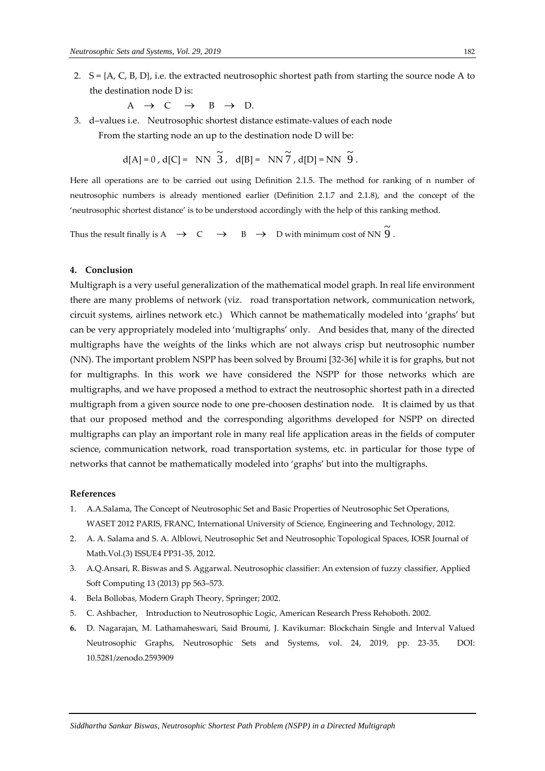2.  $S = \{A, C, B, D\}$ , i.e. the extracted neutrosophic shortest path from starting the source node A to the destination node D is:

 $A \rightarrow C \rightarrow B$  $B \rightarrow D$ .

3. d–values i.e. Neutrosophic shortest distance estimate-values of each node From the starting node an up to the destination node D will be:

$$
d[A] = 0, d[C] = NN \widetilde{3}, d[B] = NN \widetilde{7}, d[D] = NN \widetilde{9}.
$$

Here all operations are to be carried out using Definition 2.1.5. The method for ranking of n number of neutrosophic numbers is already mentioned earlier (Definition 2.1.7 and 2.1.8), and the concept of the 'neutrosophic shortest distance' is to be understood accordingly with the help of this ranking method.

Thus the result finally is A  $\rightarrow$  C  $\rightarrow$  $\rightarrow$  C  $\rightarrow$  B  $\rightarrow$  D with minimum cost of NN  $\widetilde{9}$ 

### **4. Conclusion**

Multigraph is a very useful generalization of the mathematical model graph. In real life environment there are many problems of network (viz. road transportation network, communication network, circuit systems, airlines network etc.) Which cannot be mathematically modeled into 'graphs' but can be very appropriately modeled into 'multigraphs' only. And besides that, many of the directed multigraphs have the weights of the links which are not always crisp but neutrosophic number (NN). The important problem NSPP has been solved by Broumi [32-36] while it is for graphs, but not for multigraphs. In this work we have considered the NSPP for those networks which are multigraphs, and we have proposed a method to extract the neutrosophic shortest path in a directed multigraph from a given source node to one pre-choosen destination node. It is claimed by us that that our proposed method and the corresponding algorithms developed for NSPP on directed multigraphs can play an important role in many real life application areas in the fields of computer science, communication network, road transportation systems, etc. in particular for those type of networks that cannot be mathematically modeled into 'graphs' but into the multigraphs.

#### **References**

- 1. A.A.Salama, The Concept of Neutrosophic Set and Basic Properties of Neutrosophic Set Operations, WASET 2012 PARIS, FRANC, International University of Science, Engineering and Technology, 2012.
- 2. A. A. Salama and S. A. Alblowi, Neutrosophic Set and Neutrosophic Topological Spaces, IOSR Journal of Math.Vol.(3) ISSUE4 PP31-35, 2012.
- 3. A.Q.Ansari, R. Biswas and S. Aggarwal. Neutrosophic classifier: An extension of fuzzy classifier, Applied Soft Computing 13 (2013) pp 563–573.
- 4. Bela Bollobas, Modern Graph Theory, Springer; 2002.
- 5. C. Ashbacher, Introduction to Neutrosophic Logic, American Research Press Rehoboth. 2002.
- **6.** D. Nagarajan, M. Lathamaheswari, Said Broumi, J. Kavikumar: Blockchain Single and Interval Valued Neutrosophic Graphs, Neutrosophic Sets and Systems, vol. 24, 2019, pp. 23-35. DOI: 10.5281/zenodo.2593909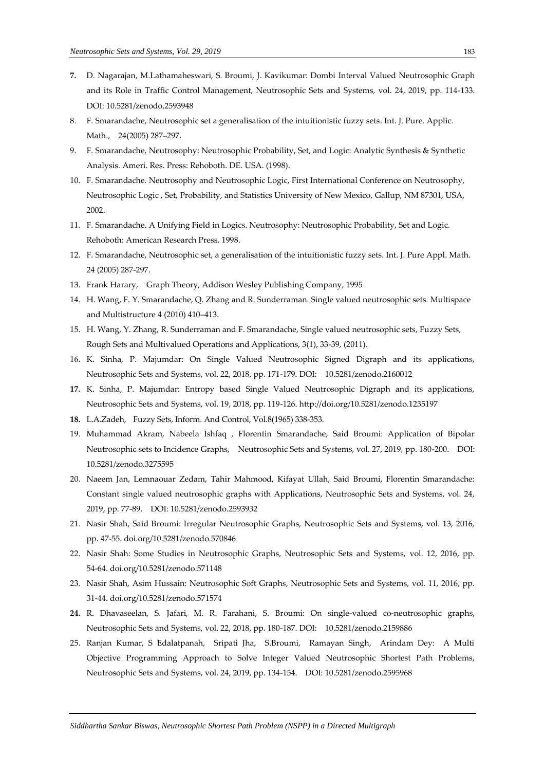- **7.** D. Nagarajan, M.Lathamaheswari, S. Broumi, J. Kavikumar: Dombi Interval Valued Neutrosophic Graph and its Role in Traffic Control Management, Neutrosophic Sets and Systems, vol. 24, 2019, pp. 114-133. DOI: 10.5281/zenodo.2593948
- 8. F. Smarandache, Neutrosophic set a generalisation of the intuitionistic fuzzy sets. Int. J. Pure. Applic. Math., 24(2005) 287–297.
- 9. F. Smarandache, Neutrosophy: Neutrosophic Probability, Set, and Logic: Analytic Synthesis & Synthetic Analysis. Ameri. Res. Press: Rehoboth. DE. USA. (1998).
- 10. F. Smarandache. Neutrosophy and Neutrosophic Logic, First International Conference on Neutrosophy, Neutrosophic Logic , Set, Probability, and Statistics University of New Mexico, Gallup, NM 87301, USA, 2002.
- 11. F. Smarandache. A Unifying Field in Logics. Neutrosophy: Neutrosophic Probability, Set and Logic. Rehoboth: American Research Press. 1998.
- 12. F. Smarandache, Neutrosophic set, a generalisation of the intuitionistic fuzzy sets. Int. J. Pure Appl. Math. 24 (2005) 287-297.
- 13. Frank Harary, Graph Theory, Addison Wesley Publishing Company, 1995
- 14. H. Wang, F. Y. Smarandache, Q. Zhang and R. Sunderraman. Single valued neutrosophic sets. Multispace and Multistructure 4 (2010) 410–413.
- 15. H. Wang, Y. Zhang, R. Sunderraman and F. Smarandache, Single valued neutrosophic sets, Fuzzy Sets, Rough Sets and Multivalued Operations and Applications, 3(1), 33-39, (2011).
- 16. K. Sinha, P. Majumdar: On Single Valued Neutrosophic Signed Digraph and its applications, Neutrosophic Sets and Systems, vol. 22, 2018, pp. 171-179. DOI: 10.5281/zenodo.2160012
- **17.** K. Sinha, P. Majumdar: Entropy based Single Valued Neutrosophic Digraph and its applications, Neutrosophic Sets and Systems, vol. 19, 2018, pp. 119-126. http://doi.org/10.5281/zenodo.1235197
- **18.** L.A.Zadeh, Fuzzy Sets, Inform. And Control, Vol.8(1965) 338-353.
- 19. Muhammad Akram, Nabeela Ishfaq , Florentin Smarandache, Said Broumi: Application of Bipolar Neutrosophic sets to Incidence Graphs, Neutrosophic Sets and Systems, vol. 27, 2019, pp. 180-200. DOI: 10.5281/zenodo.3275595
- 20. Naeem Jan, Lemnaouar Zedam, Tahir Mahmood, Kifayat Ullah, Said Broumi, Florentin Smarandache: Constant single valued neutrosophic graphs with Applications, Neutrosophic Sets and Systems, vol. 24, 2019, pp. 77-89. DOI: 10.5281/zenodo.2593932
- 21. Nasir Shah, Said Broumi: Irregular Neutrosophic Graphs, Neutrosophic Sets and Systems, vol. 13, 2016, pp. 47-55. doi.org/10.5281/zenodo.570846
- 22. Nasir Shah: Some Studies in Neutrosophic Graphs, Neutrosophic Sets and Systems, vol. 12, 2016, pp. 54-64. doi.org/10.5281/zenodo.571148
- 23. Nasir Shah, Asim Hussain: Neutrosophic Soft Graphs, Neutrosophic Sets and Systems, vol. 11, 2016, pp. 31-44. doi.org/10.5281/zenodo.571574
- **24.** R. Dhavaseelan, S. Jafari, M. R. Farahani, S. Broumi: On single-valued co-neutrosophic graphs, Neutrosophic Sets and Systems, vol. 22, 2018, pp. 180-187. DOI: 10.5281/zenodo.2159886
- 25. Ranjan Kumar, S Edalatpanah, Sripati Jha, S.Broumi, Ramayan Singh, Arindam Dey: A Multi Objective Programming Approach to Solve Integer Valued Neutrosophic Shortest Path Problems, Neutrosophic Sets and Systems, vol. 24, 2019, pp. 134-154. DOI: 10.5281/zenodo.2595968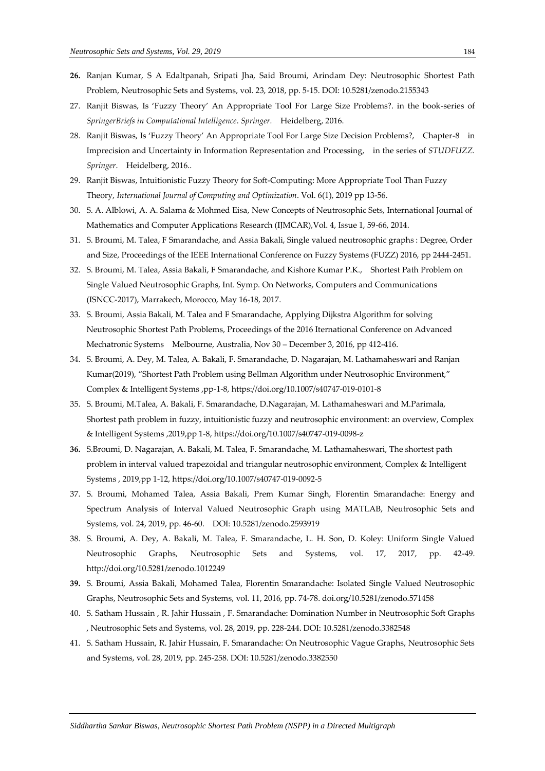- **26.** Ranjan Kumar, S A Edaltpanah, Sripati Jha, Said Broumi, Arindam Dey: Neutrosophic Shortest Path Problem, Neutrosophic Sets and Systems, vol. 23, 2018, pp. 5-15. DOI: 10.5281/zenodo.2155343
- 27. Ranjit Biswas, Is 'Fuzzy Theory' An Appropriate Tool For Large Size Problems?. in the book-series of *SpringerBriefs in Computational Intelligence*. *Springer.* Heidelberg, 2016.
- 28. Ranjit Biswas, Is 'Fuzzy Theory' An Appropriate Tool For Large Size Decision Problems?, Chapter-8 in Imprecision and Uncertainty in Information Representation and Processing, in the series of *STUDFUZZ. Springer*. Heidelberg, 2016..
- 29. Ranjit Biswas, Intuitionistic Fuzzy Theory for Soft-Computing: More Appropriate Tool Than Fuzzy Theory, *International Journal of Computing and Optimization*. Vol. 6(1), 2019 pp 13-56.
- 30. S. A. Alblowi, A. A. Salama & Mohmed Eisa, New Concepts of Neutrosophic Sets, International Journal of Mathematics and Computer Applications Research (IJMCAR),Vol. 4, Issue 1, 59-66, 2014.
- 31. S. Broumi, M. Talea, F Smarandache, and Assia Bakali, Single valued neutrosophic graphs : Degree, Order and Size, Proceedings of the IEEE International Conference on Fuzzy Systems (FUZZ) 2016, pp 2444-2451.
- 32. S. Broumi, M. Talea, Assia Bakali, F Smarandache, and Kishore Kumar P.K., Shortest Path Problem on Single Valued Neutrosophic Graphs, Int. Symp. On Networks, Computers and Communications (ISNCC-2017), Marrakech, Morocco, May 16-18, 2017.
- 33. S. Broumi, Assia Bakali, M. Talea and F Smarandache, Applying Dijkstra Algorithm for solving Neutrosophic Shortest Path Problems, Proceedings of the 2016 Iternational Conference on Advanced Mechatronic Systems Melbourne, Australia, Nov 30 – December 3, 2016, pp 412-416.
- 34. S. Broumi, A. Dey, M. Talea, A. Bakali, F. Smarandache, D. Nagarajan, M. Lathamaheswari and Ranjan Kumar(2019), "Shortest Path Problem using Bellman Algorithm under Neutrosophic Environment," Complex & Intelligent Systems ,pp-1-8[, https://doi.org/10.1007/s40747-019-0101-8](https://doi.org/10.1007/s40747-019-0101-8)
- 35. S. Broumi, M.Talea, A. Bakali, F. Smarandache, D.Nagarajan, M. Lathamaheswari and M.Parimala, Shortest path problem in fuzzy, intuitionistic fuzzy and neutrosophic environment: an overview, Complex & Intelligent Systems ,2019,pp 1-8,<https://doi.org/10.1007/s40747-019-0098-z>
- **36.** S.Broumi, D. Nagarajan, A. Bakali, M. Talea, F. Smarandache, M. Lathamaheswari, The shortest path problem in interval valued trapezoidal and triangular neutrosophic environment, Complex & Intelligent Systems , 2019,pp 1-12,<https://doi.org/10.1007/s40747-019-0092-5>
- 37. S. Broumi, Mohamed Talea, Assia Bakali, Prem Kumar Singh, Florentin Smarandache: Energy and Spectrum Analysis of Interval Valued Neutrosophic Graph using MATLAB, Neutrosophic Sets and Systems, vol. 24, 2019, pp. 46-60. DOI: 10.5281/zenodo.2593919
- 38. S. Broumi, A. Dey, A. Bakali, M. Talea, F. Smarandache, L. H. Son, D. Koley: Uniform Single Valued Neutrosophic Graphs, Neutrosophic Sets and Systems, vol. 17, 2017, pp. 42-49. http://doi.org/10.5281/zenodo.1012249
- **39.** S. Broumi, Assia Bakali, Mohamed Talea, Florentin Smarandache: Isolated Single Valued Neutrosophic Graphs, Neutrosophic Sets and Systems, vol. 11, 2016, pp. 74-78. doi.org/10.5281/zenodo.571458
- 40. S. Satham Hussain , R. Jahir Hussain , F. Smarandache: Domination Number in Neutrosophic Soft Graphs , Neutrosophic Sets and Systems, vol. 28, 2019, pp. 228-244. DOI: 10.5281/zenodo.3382548
- 41. S. Satham Hussain, R. Jahir Hussain, F. Smarandache: On Neutrosophic Vague Graphs, Neutrosophic Sets and Systems, vol. 28, 2019, pp. 245-258. DOI: 10.5281/zenodo.3382550